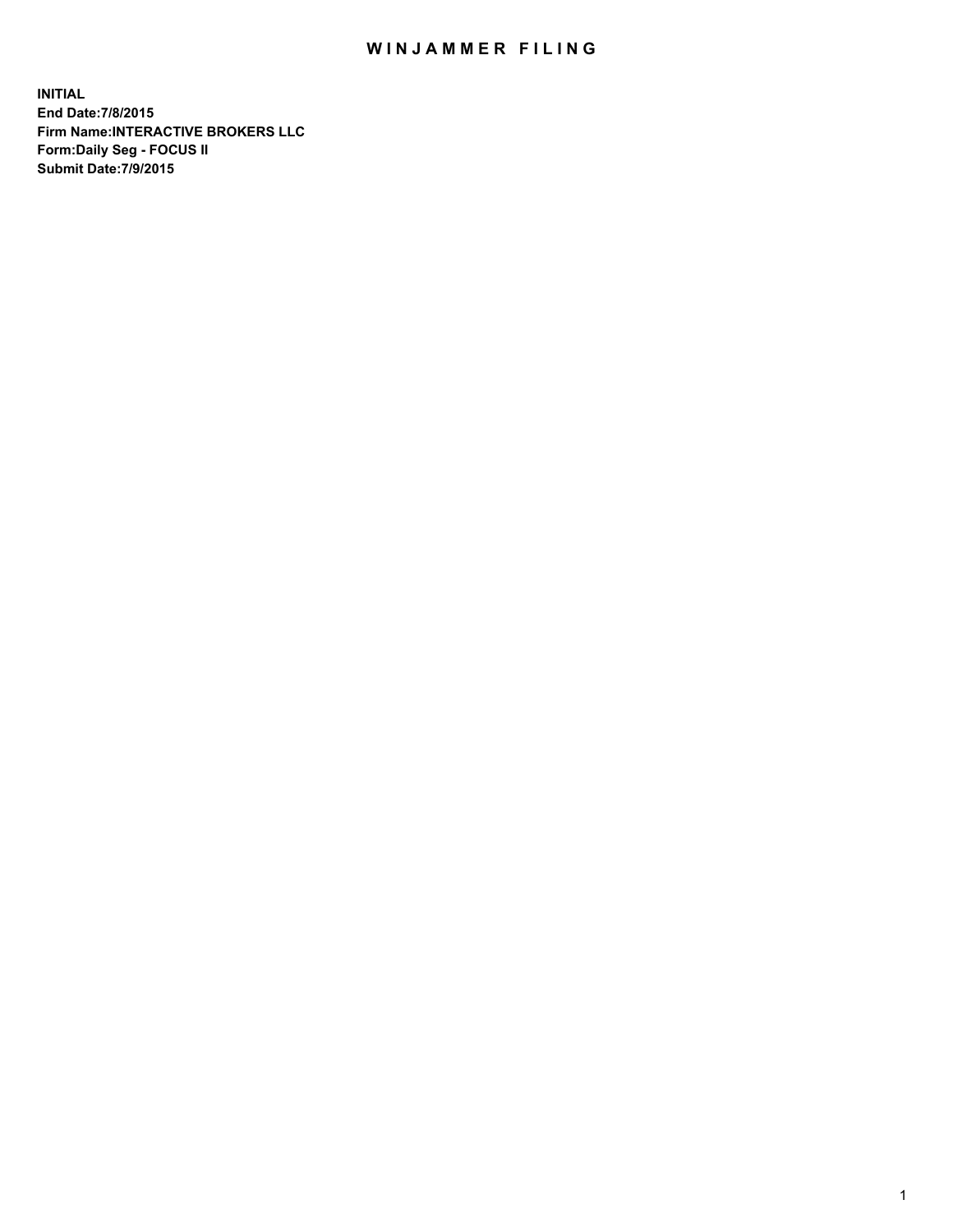## WIN JAMMER FILING

**INITIAL End Date:7/8/2015 Firm Name:INTERACTIVE BROKERS LLC Form:Daily Seg - FOCUS II Submit Date:7/9/2015**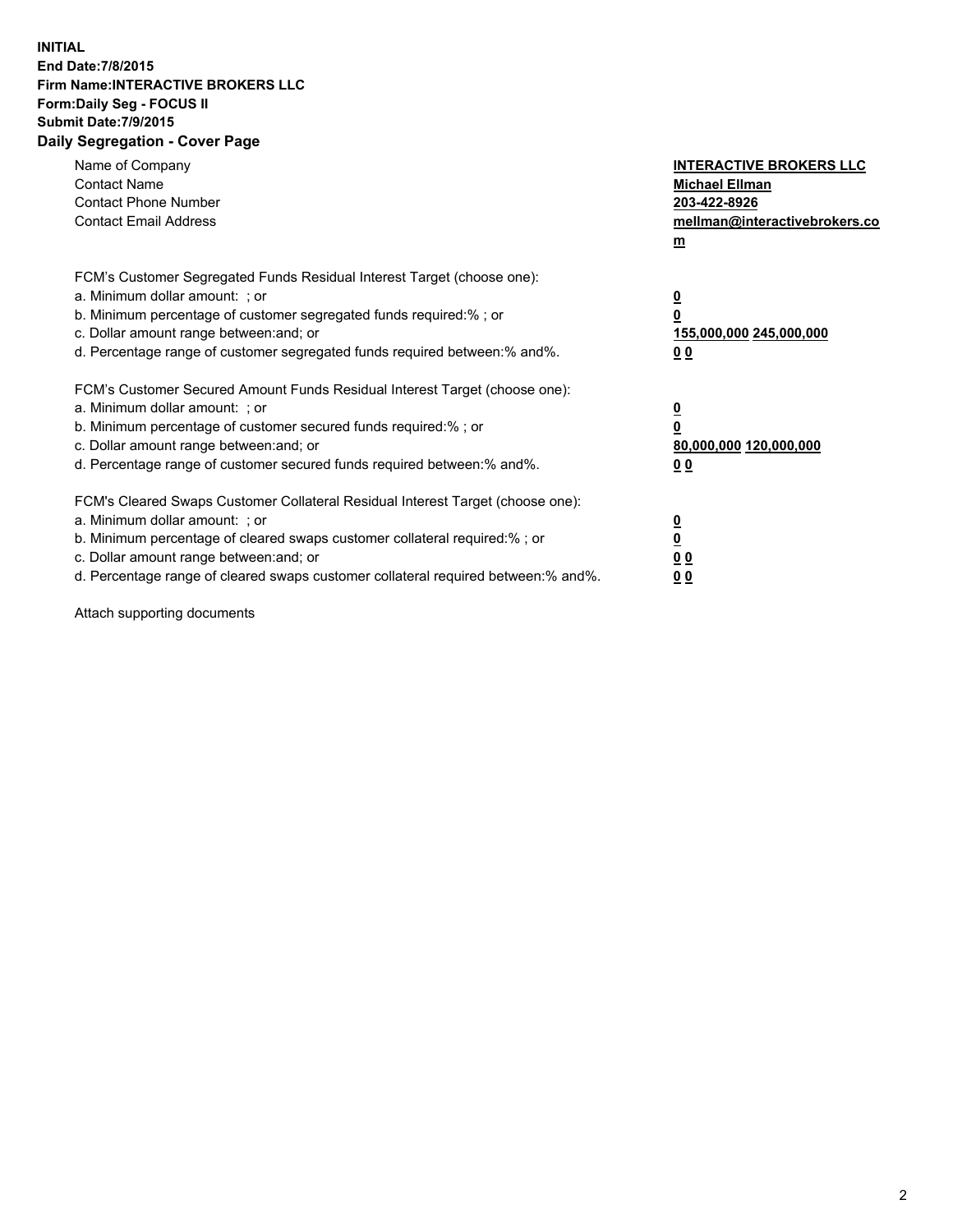## **INITIAL End Date:7/8/2015 Firm Name:INTERACTIVE BROKERS LLC Form:Daily Seg - FOCUS II Submit Date:7/9/2015 Daily Segregation - Cover Page**

| Name of Company<br><b>Contact Name</b><br><b>Contact Phone Number</b><br><b>Contact Email Address</b>                                                                                                                                                                                                                          | <b>INTERACTIVE BROKERS LLC</b><br><b>Michael Ellman</b><br>203-422-8926<br>mellman@interactivebrokers.co<br>$m$ |
|--------------------------------------------------------------------------------------------------------------------------------------------------------------------------------------------------------------------------------------------------------------------------------------------------------------------------------|-----------------------------------------------------------------------------------------------------------------|
| FCM's Customer Segregated Funds Residual Interest Target (choose one):<br>a. Minimum dollar amount: ; or<br>b. Minimum percentage of customer segregated funds required:% ; or<br>c. Dollar amount range between: and; or<br>d. Percentage range of customer segregated funds required between:% and%.                         | $\overline{\mathbf{0}}$<br>0<br>155,000,000 245,000,000<br>0 <sub>0</sub>                                       |
| FCM's Customer Secured Amount Funds Residual Interest Target (choose one):<br>a. Minimum dollar amount: ; or<br>b. Minimum percentage of customer secured funds required:%; or<br>c. Dollar amount range between: and; or<br>d. Percentage range of customer secured funds required between: % and %.                          | $\underline{\mathbf{0}}$<br>0<br>80,000,000 120,000,000<br>0 <sub>0</sub>                                       |
| FCM's Cleared Swaps Customer Collateral Residual Interest Target (choose one):<br>a. Minimum dollar amount: ; or<br>b. Minimum percentage of cleared swaps customer collateral required:% ; or<br>c. Dollar amount range between: and; or<br>d. Percentage range of cleared swaps customer collateral required between:% and%. | $\overline{\mathbf{0}}$<br>$\overline{\mathbf{0}}$<br>0 <sub>0</sub><br>0 <sup>0</sup>                          |

Attach supporting documents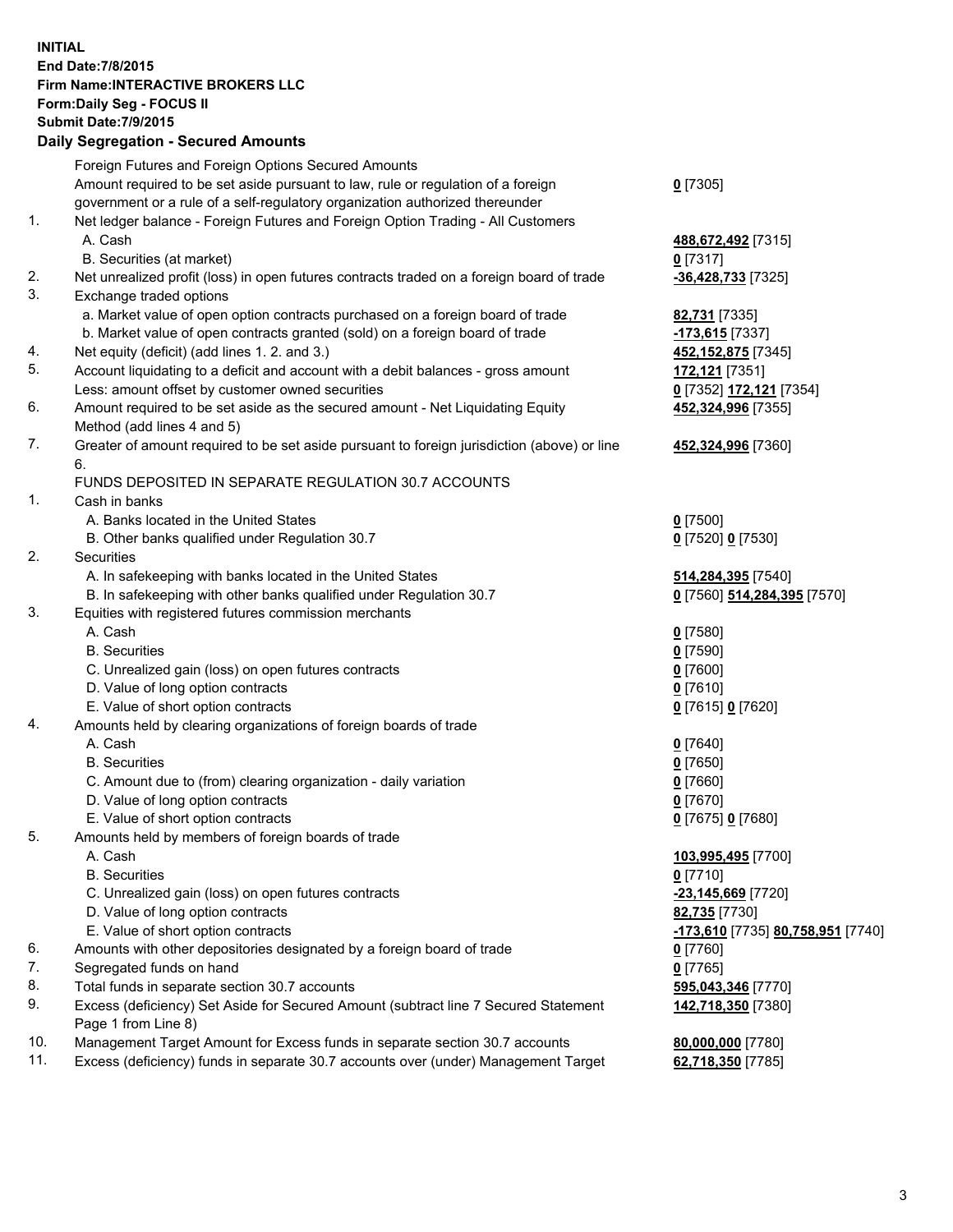## **INITIAL End Date:7/8/2015 Firm Name:INTERACTIVE BROKERS LLC Form:Daily Seg - FOCUS II Submit Date:7/9/2015 Daily Segregation - Secured Amounts**

|     | Foreign Futures and Foreign Options Secured Amounts                                         |                                   |
|-----|---------------------------------------------------------------------------------------------|-----------------------------------|
|     | Amount required to be set aside pursuant to law, rule or regulation of a foreign            | $0$ [7305]                        |
|     | government or a rule of a self-regulatory organization authorized thereunder                |                                   |
| 1.  | Net ledger balance - Foreign Futures and Foreign Option Trading - All Customers             |                                   |
|     | A. Cash                                                                                     | 488,672,492 [7315]                |
|     | B. Securities (at market)                                                                   | $0$ [7317]                        |
| 2.  | Net unrealized profit (loss) in open futures contracts traded on a foreign board of trade   | -36,428,733 [7325]                |
| 3.  | Exchange traded options                                                                     |                                   |
|     | a. Market value of open option contracts purchased on a foreign board of trade              | 82,731 [7335]                     |
|     | b. Market value of open contracts granted (sold) on a foreign board of trade                | -173,615 [7337]                   |
| 4.  |                                                                                             |                                   |
| 5.  | Net equity (deficit) (add lines 1. 2. and 3.)                                               | 452,152,875 [7345]                |
|     | Account liquidating to a deficit and account with a debit balances - gross amount           | 172,121 [7351]                    |
|     | Less: amount offset by customer owned securities                                            | 0 [7352] 172,121 [7354]           |
| 6.  | Amount required to be set aside as the secured amount - Net Liquidating Equity              | 452,324,996 [7355]                |
|     | Method (add lines 4 and 5)                                                                  |                                   |
| 7.  | Greater of amount required to be set aside pursuant to foreign jurisdiction (above) or line | 452,324,996 [7360]                |
|     | 6.                                                                                          |                                   |
|     | FUNDS DEPOSITED IN SEPARATE REGULATION 30.7 ACCOUNTS                                        |                                   |
| 1.  | Cash in banks                                                                               |                                   |
|     | A. Banks located in the United States                                                       | $Q$ [7500]                        |
|     | B. Other banks qualified under Regulation 30.7                                              | 0 [7520] 0 [7530]                 |
| 2.  | Securities                                                                                  |                                   |
|     | A. In safekeeping with banks located in the United States                                   | 514,284,395 [7540]                |
|     | B. In safekeeping with other banks qualified under Regulation 30.7                          | 0 [7560] 514,284,395 [7570]       |
| 3.  | Equities with registered futures commission merchants                                       |                                   |
|     | A. Cash                                                                                     | $0$ [7580]                        |
|     | <b>B.</b> Securities                                                                        | $0$ [7590]                        |
|     | C. Unrealized gain (loss) on open futures contracts                                         | $0$ [7600]                        |
|     | D. Value of long option contracts                                                           | $0$ [7610]                        |
|     | E. Value of short option contracts                                                          | 0 [7615] 0 [7620]                 |
| 4.  | Amounts held by clearing organizations of foreign boards of trade                           |                                   |
|     | A. Cash                                                                                     | $Q$ [7640]                        |
|     | <b>B.</b> Securities                                                                        | $0$ [7650]                        |
|     | C. Amount due to (from) clearing organization - daily variation                             | $0$ [7660]                        |
|     | D. Value of long option contracts                                                           | $0$ [7670]                        |
|     | E. Value of short option contracts                                                          | 0 [7675] 0 [7680]                 |
| 5.  | Amounts held by members of foreign boards of trade                                          |                                   |
|     | A. Cash                                                                                     | 103,995,495 [7700]                |
|     | <b>B.</b> Securities                                                                        | $0$ [7710]                        |
|     | C. Unrealized gain (loss) on open futures contracts                                         | -23,145,669 [7720]                |
|     | D. Value of long option contracts                                                           | 82,735 [7730]                     |
|     | E. Value of short option contracts                                                          | -173,610 [7735] 80,758,951 [7740] |
| 6.  | Amounts with other depositories designated by a foreign board of trade                      | $0$ [7760]                        |
| 7.  | Segregated funds on hand                                                                    | $0$ [7765]                        |
| 8.  | Total funds in separate section 30.7 accounts                                               | 595,043,346 [7770]                |
| 9.  | Excess (deficiency) Set Aside for Secured Amount (subtract line 7 Secured Statement         | 142,718,350 [7380]                |
|     | Page 1 from Line 8)                                                                         |                                   |
| 10. | Management Target Amount for Excess funds in separate section 30.7 accounts                 | 80,000,000 [7780]                 |
| 11. | Excess (deficiency) funds in separate 30.7 accounts over (under) Management Target          | 62,718,350 [7785]                 |
|     |                                                                                             |                                   |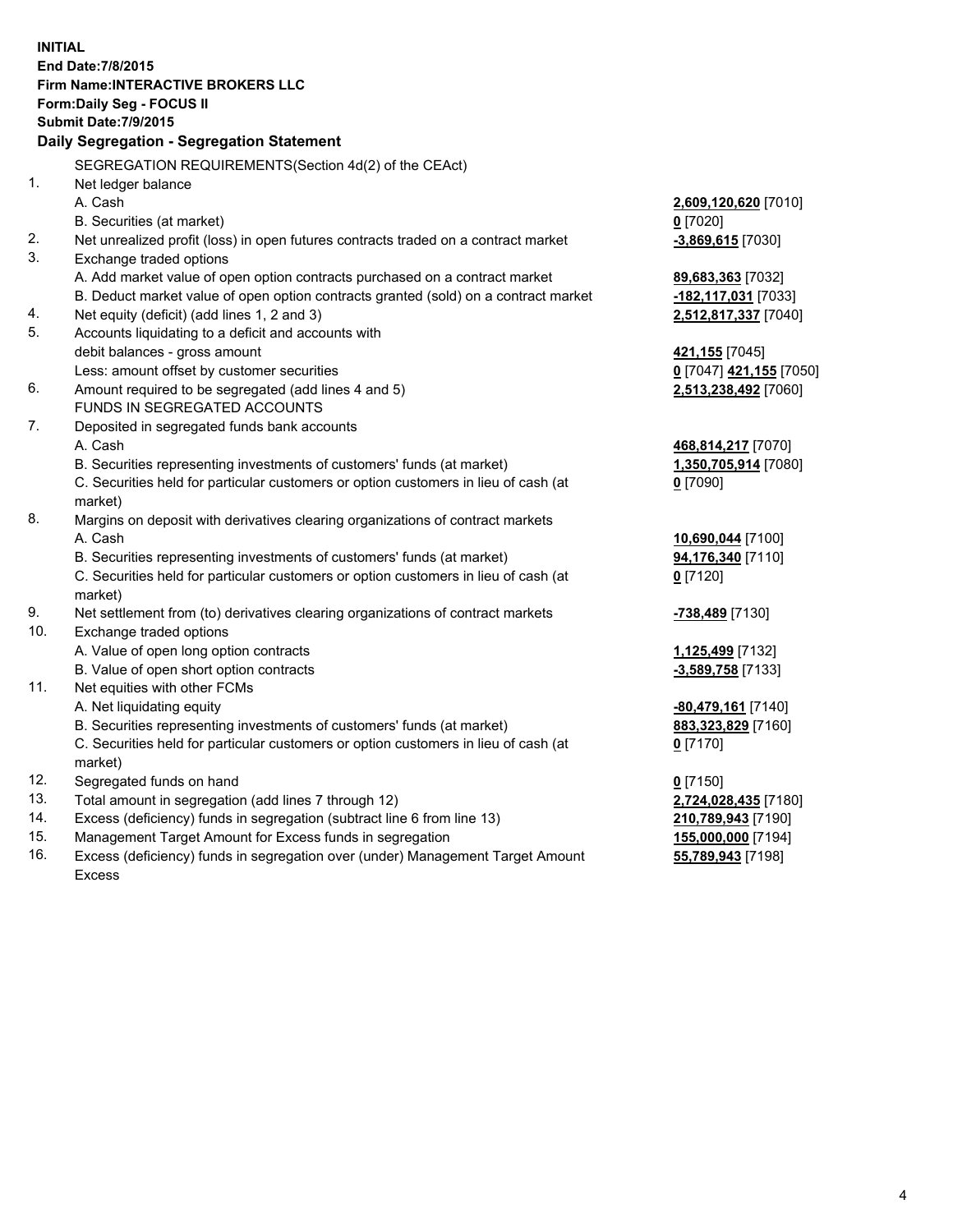**INITIAL End Date:7/8/2015 Firm Name:INTERACTIVE BROKERS LLC Form:Daily Seg - FOCUS II Submit Date:7/9/2015 Daily Segregation - Segregation Statement** SEGREGATION REQUIREMENTS(Section 4d(2) of the CEAct) 1. Net ledger balance A. Cash **2,609,120,620** [7010] B. Securities (at market) **0** [7020] 2. Net unrealized profit (loss) in open futures contracts traded on a contract market **-3,869,615** [7030] 3. Exchange traded options A. Add market value of open option contracts purchased on a contract market **89,683,363** [7032] B. Deduct market value of open option contracts granted (sold) on a contract market **-182,117,031** [7033] 4. Net equity (deficit) (add lines 1, 2 and 3) **2,512,817,337** [7040] 5. Accounts liquidating to a deficit and accounts with debit balances - gross amount **421,155** [7045] Less: amount offset by customer securities **0** [7047] **421,155** [7050] 6. Amount required to be segregated (add lines 4 and 5) **2,513,238,492** [7060] FUNDS IN SEGREGATED ACCOUNTS 7. Deposited in segregated funds bank accounts A. Cash **468,814,217** [7070] B. Securities representing investments of customers' funds (at market) **1,350,705,914** [7080] C. Securities held for particular customers or option customers in lieu of cash (at market) **0** [7090] 8. Margins on deposit with derivatives clearing organizations of contract markets A. Cash **10,690,044** [7100] B. Securities representing investments of customers' funds (at market) **94,176,340** [7110] C. Securities held for particular customers or option customers in lieu of cash (at market) **0** [7120] 9. Net settlement from (to) derivatives clearing organizations of contract markets **-738,489** [7130] 10. Exchange traded options A. Value of open long option contracts **1,125,499** [7132] B. Value of open short option contracts **-3,589,758** [7133] 11. Net equities with other FCMs A. Net liquidating equity **-80,479,161** [7140] B. Securities representing investments of customers' funds (at market) **883,323,829** [7160] C. Securities held for particular customers or option customers in lieu of cash (at market) **0** [7170] 12. Segregated funds on hand **0** [7150] 13. Total amount in segregation (add lines 7 through 12) **2,724,028,435** [7180] 14. Excess (deficiency) funds in segregation (subtract line 6 from line 13) **210,789,943** [7190] 15. Management Target Amount for Excess funds in segregation **155,000,000** [7194]

16. Excess (deficiency) funds in segregation over (under) Management Target Amount Excess

**55,789,943** [7198]